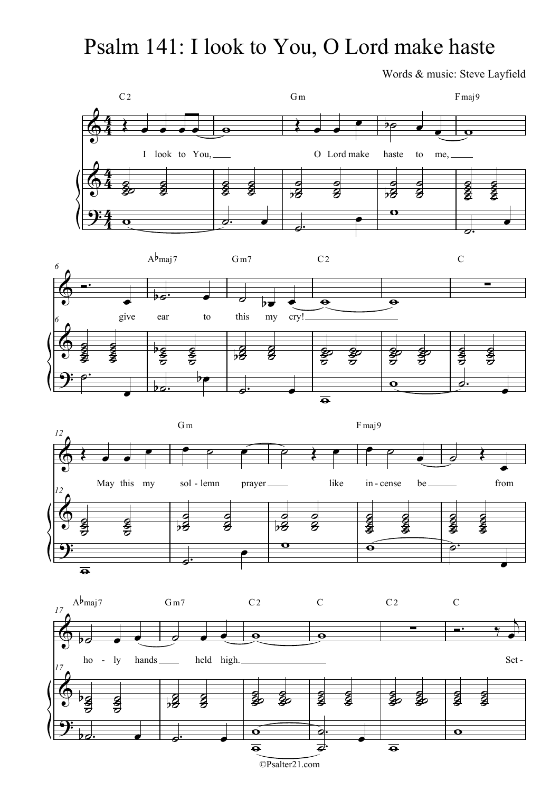## Psalm 141: I look to You, O Lord make haste

Words & music: Steve Layfield